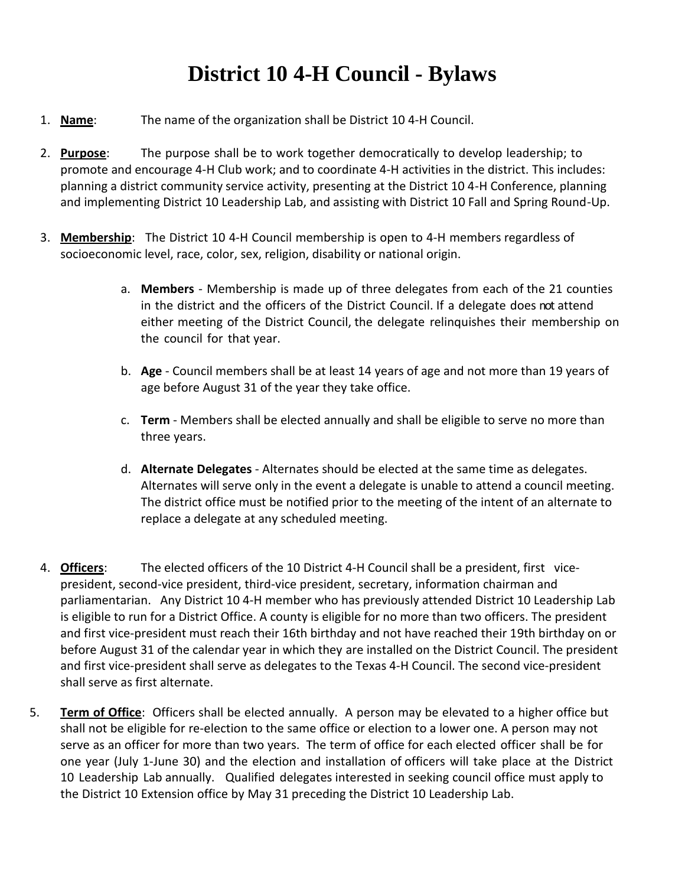## **District 10 4-H Council - Bylaws**

- 1. **Name**: The name of the organization shall be District 10 4‐H Council.
- 2. **Purpose**: The purpose shall be to work together democratically to develop leadership; to promote and encourage 4‐H Club work; and to coordinate 4‐H activities in the district. This includes: planning a district community service activity, presenting at the District 10 4-H Conference, planning and implementing District 10 Leadership Lab, and assisting with District 10 Fall and Spring Round-Up.
- 3. **Membership**: The District 10 4‐H Council membership is open to 4‐H members regardless of socioeconomic level, race, color, sex, religion, disability or national origin.
	- a. **Members** ‐ Membership is made up of three delegates from each of the 21 counties in the district and the officers of the District Council. If a delegate does not attend either meeting of the District Council, the delegate relinquishes their membership on the council for that year.
	- b. **Age** ‐ Council members shall be at least 14 years of age and not more than 19 years of age before August 31 of the year they take office.
	- c. **Term** ‐ Members shall be elected annually and shall be eligible to serve no more than three years.
	- d. **Alternate Delegates** ‐ Alternates should be elected at the same time as delegates. Alternates will serve only in the event a delegate is unable to attend a council meeting. The district office must be notified prior to the meeting of the intent of an alternate to replace a delegate at any scheduled meeting.
- 4. **Officers:** The elected officers of the 10 District 4-H Council shall be a president, first vicepresident, second‐vice president, third-vice president, secretary, information chairman and parliamentarian. Any District 10 4‐H member who has previously attended District 10 Leadership Lab is eligible to run for a District Office. A county is eligible for no more than two officers. The president and first vice-president must reach their 16th birthday and not have reached their 19th birthday on or before August 31 of the calendar year in which they are installed on the District Council. The president and first vice-president shall serve as delegates to the Texas 4-H Council. The second vice-president shall serve as first alternate.
- 5. **Term of Office**: Officers shall be elected annually. A person may be elevated to a higher office but shall not be eligible for re‐election to the same office or election to a lower one. A person may not serve as an officer for more than two years. The term of office for each elected officer shall be for one year (July 1‐June 30) and the election and installation of officers will take place at the District 10 Leadership Lab annually. Qualified delegates interested in seeking council office must apply to the District 10 Extension office by May 31 preceding the District 10 Leadership Lab.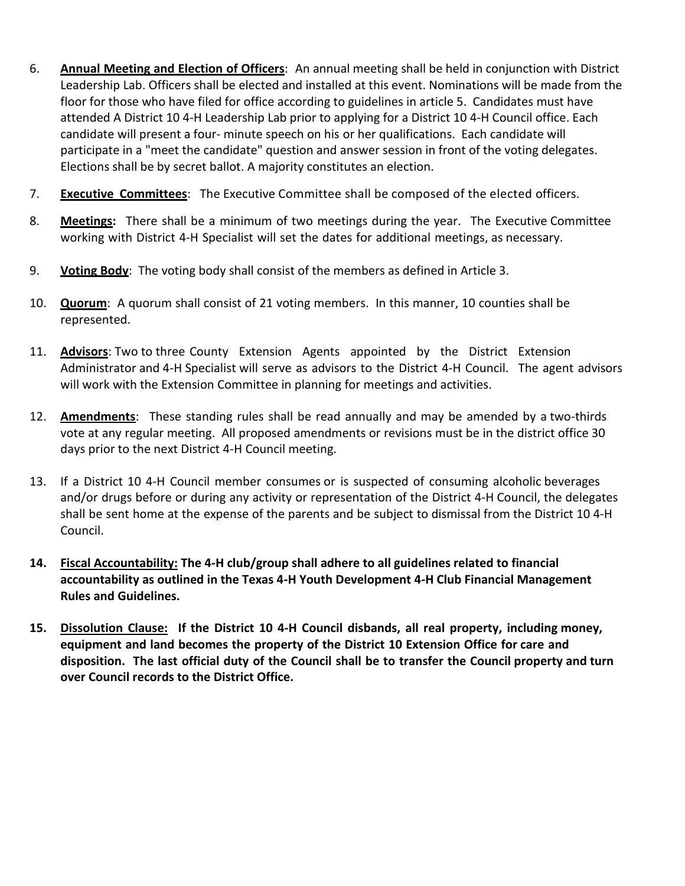- 6. **Annual Meeting and Election of Officers**: An annual meeting shall be held in conjunction with District Leadership Lab. Officers shall be elected and installed at this event. Nominations will be made from the floor for those who have filed for office according to guidelines in article 5. Candidates must have attended A District 10 4‐H Leadership Lab prior to applying for a District 10 4‐H Council office. Each candidate will present a four‐ minute speech on his or her qualifications. Each candidate will participate in a "meet the candidate" question and answer session in front of the voting delegates. Elections shall be by secret ballot. A majority constitutes an election.
- 7. **Executive Committees**: The Executive Committee shall be composed of the elected officers.
- 8. **Meetings:** There shall be a minimum of two meetings during the year. The Executive Committee working with District 4‐H Specialist will set the dates for additional meetings, as necessary.
- 9. **Voting Body**: The voting body shall consist of the members as defined in Article 3.
- 10. **Quorum**: A quorum shall consist of 21 voting members. In this manner, 10 counties shall be represented.
- 11. **Advisors**: Two to three County Extension Agents appointed by the District Extension Administrator and 4-H Specialist will serve as advisors to the District 4‐H Council. The agent advisors will work with the Extension Committee in planning for meetings and activities.
- 12. **Amendments**: These standing rules shall be read annually and may be amended by a two‐thirds vote at any regular meeting. All proposed amendments or revisions must be in the district office 30 days prior to the next District 4‐H Council meeting.
- 13. If a District 10 4‐H Council member consumes or is suspected of consuming alcoholic beverages and/or drugs before or during any activity or representation of the District 4‐H Council, the delegates shall be sent home at the expense of the parents and be subject to dismissal from the District 10 4‐H Council.
- **14. Fiscal Accountability: The 4-H club/group shall adhere to all guidelines related to financial accountability as outlined in the Texas 4-H Youth Development 4-H Club Financial Management Rules and Guidelines.**
- **15. Dissolution Clause: If the District 10 4‐H Council disbands, all real property, including money, equipment and land becomes the property of the District 10 Extension Office for care and disposition. The last official duty of the Council shall be to transfer the Council property and turn over Council records to the District Office.**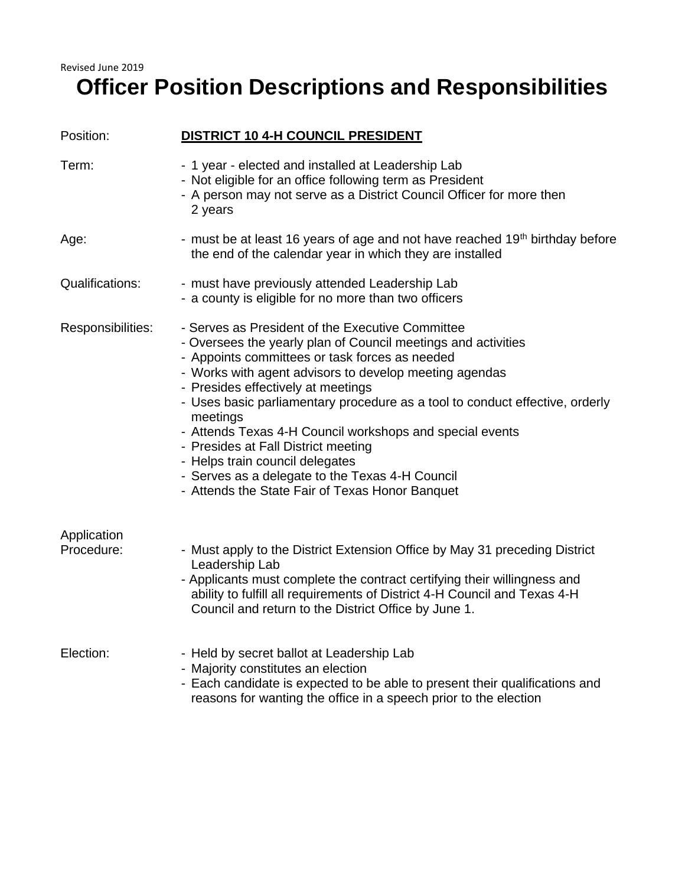## Revised June 2019 **Officer Position Descriptions and Responsibilities**

| Position:                 | <b>DISTRICT 10 4-H COUNCIL PRESIDENT</b>                                                                                                                                                                                                                                                                                                                                                                                                                                                                                                                                                                    |
|---------------------------|-------------------------------------------------------------------------------------------------------------------------------------------------------------------------------------------------------------------------------------------------------------------------------------------------------------------------------------------------------------------------------------------------------------------------------------------------------------------------------------------------------------------------------------------------------------------------------------------------------------|
| Term:                     | - 1 year - elected and installed at Leadership Lab<br>- Not eligible for an office following term as President<br>- A person may not serve as a District Council Officer for more then<br>2 years                                                                                                                                                                                                                                                                                                                                                                                                           |
| Age:                      | - must be at least 16 years of age and not have reached 19 <sup>th</sup> birthday before<br>the end of the calendar year in which they are installed                                                                                                                                                                                                                                                                                                                                                                                                                                                        |
| <b>Qualifications:</b>    | - must have previously attended Leadership Lab<br>- a county is eligible for no more than two officers                                                                                                                                                                                                                                                                                                                                                                                                                                                                                                      |
| Responsibilities:         | - Serves as President of the Executive Committee<br>- Oversees the yearly plan of Council meetings and activities<br>- Appoints committees or task forces as needed<br>- Works with agent advisors to develop meeting agendas<br>- Presides effectively at meetings<br>- Uses basic parliamentary procedure as a tool to conduct effective, orderly<br>meetings<br>- Attends Texas 4-H Council workshops and special events<br>- Presides at Fall District meeting<br>- Helps train council delegates<br>- Serves as a delegate to the Texas 4-H Council<br>- Attends the State Fair of Texas Honor Banquet |
| Application<br>Procedure: | - Must apply to the District Extension Office by May 31 preceding District<br>Leadership Lab<br>- Applicants must complete the contract certifying their willingness and<br>ability to fulfill all requirements of District 4-H Council and Texas 4-H<br>Council and return to the District Office by June 1.                                                                                                                                                                                                                                                                                               |
| Election:                 | - Held by secret ballot at Leadership Lab<br>- Majority constitutes an election<br>- Each candidate is expected to be able to present their qualifications and<br>reasons for wanting the office in a speech prior to the election                                                                                                                                                                                                                                                                                                                                                                          |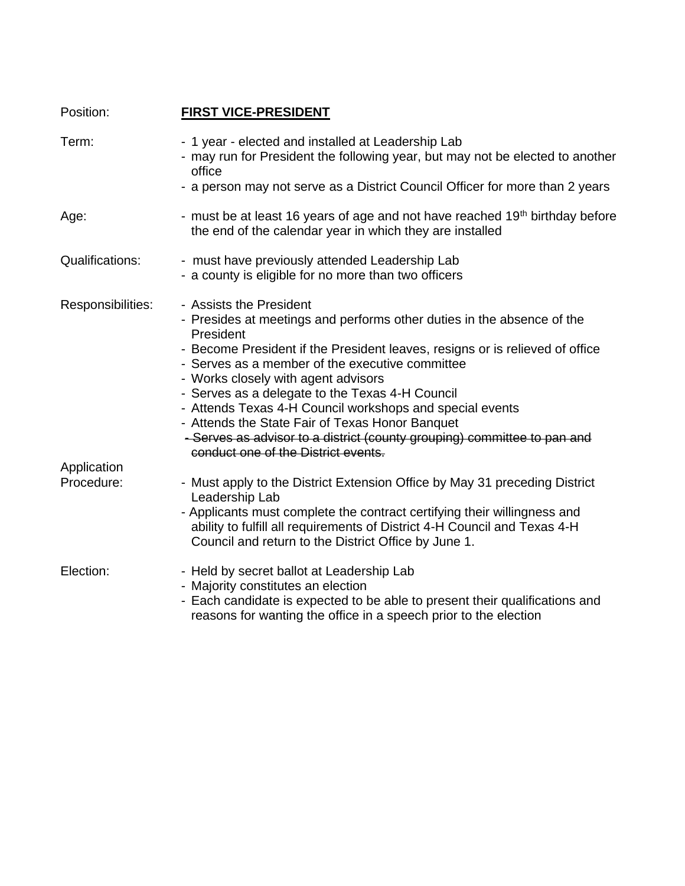| Position:                 | <b>FIRST VICE-PRESIDENT</b>                                                                                                                                                                                                                                                                                                                                                                                                                                                                                                            |
|---------------------------|----------------------------------------------------------------------------------------------------------------------------------------------------------------------------------------------------------------------------------------------------------------------------------------------------------------------------------------------------------------------------------------------------------------------------------------------------------------------------------------------------------------------------------------|
| Term:                     | - 1 year - elected and installed at Leadership Lab<br>- may run for President the following year, but may not be elected to another<br>office                                                                                                                                                                                                                                                                                                                                                                                          |
|                           | - a person may not serve as a District Council Officer for more than 2 years                                                                                                                                                                                                                                                                                                                                                                                                                                                           |
| Age:                      | - must be at least 16 years of age and not have reached 19 <sup>th</sup> birthday before<br>the end of the calendar year in which they are installed                                                                                                                                                                                                                                                                                                                                                                                   |
| <b>Qualifications:</b>    | - must have previously attended Leadership Lab<br>- a county is eligible for no more than two officers                                                                                                                                                                                                                                                                                                                                                                                                                                 |
| Responsibilities:         | - Assists the President<br>- Presides at meetings and performs other duties in the absence of the<br>President<br>- Become President if the President leaves, resigns or is relieved of office<br>- Serves as a member of the executive committee<br>- Works closely with agent advisors<br>- Serves as a delegate to the Texas 4-H Council<br>- Attends Texas 4-H Council workshops and special events<br>- Attends the State Fair of Texas Honor Banquet<br>- Serves as advisor to a district (county grouping) committee to pan and |
|                           | conduct one of the District events.                                                                                                                                                                                                                                                                                                                                                                                                                                                                                                    |
| Application<br>Procedure: | - Must apply to the District Extension Office by May 31 preceding District<br>Leadership Lab<br>- Applicants must complete the contract certifying their willingness and<br>ability to fulfill all requirements of District 4-H Council and Texas 4-H<br>Council and return to the District Office by June 1.                                                                                                                                                                                                                          |
| Election:                 | - Held by secret ballot at Leadership Lab<br>- Majority constitutes an election<br>- Each candidate is expected to be able to present their qualifications and<br>reasons for wanting the office in a speech prior to the election                                                                                                                                                                                                                                                                                                     |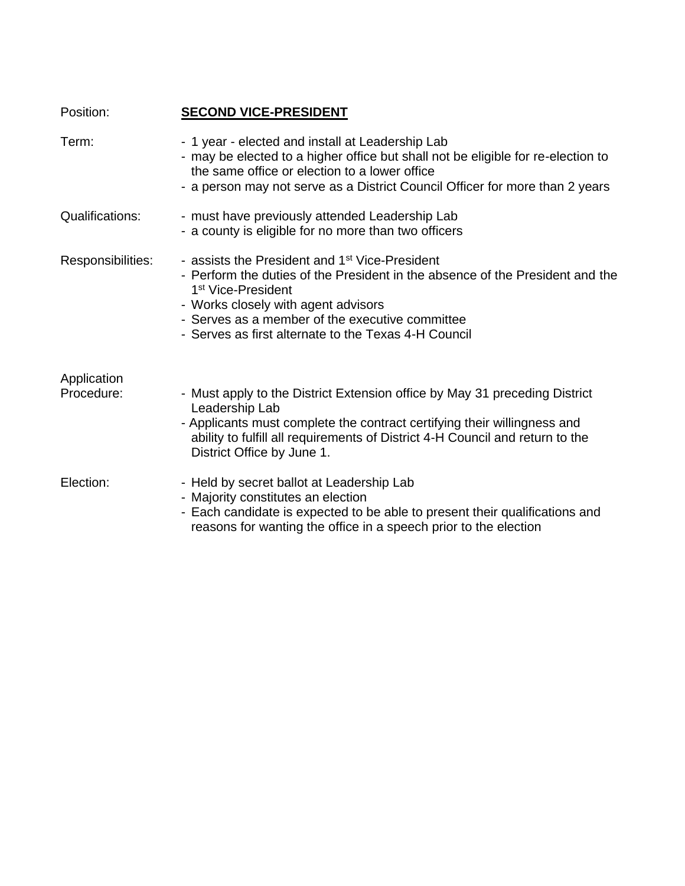| Position:                 | <b>SECOND VICE-PRESIDENT</b>                                                                                                                                                                                                                                                                                                    |
|---------------------------|---------------------------------------------------------------------------------------------------------------------------------------------------------------------------------------------------------------------------------------------------------------------------------------------------------------------------------|
| Term:                     | - 1 year - elected and install at Leadership Lab<br>- may be elected to a higher office but shall not be eligible for re-election to<br>the same office or election to a lower office<br>- a person may not serve as a District Council Officer for more than 2 years                                                           |
| <b>Qualifications:</b>    | - must have previously attended Leadership Lab<br>- a county is eligible for no more than two officers                                                                                                                                                                                                                          |
| Responsibilities:         | - assists the President and 1 <sup>st</sup> Vice-President<br>- Perform the duties of the President in the absence of the President and the<br>1 <sup>st</sup> Vice-President<br>- Works closely with agent advisors<br>- Serves as a member of the executive committee<br>- Serves as first alternate to the Texas 4-H Council |
| Application<br>Procedure: | - Must apply to the District Extension office by May 31 preceding District<br>Leadership Lab<br>- Applicants must complete the contract certifying their willingness and<br>ability to fulfill all requirements of District 4-H Council and return to the<br>District Office by June 1.                                         |
| Election:                 | - Held by secret ballot at Leadership Lab<br>- Majority constitutes an election<br>- Each candidate is expected to be able to present their qualifications and<br>reasons for wanting the office in a speech prior to the election                                                                                              |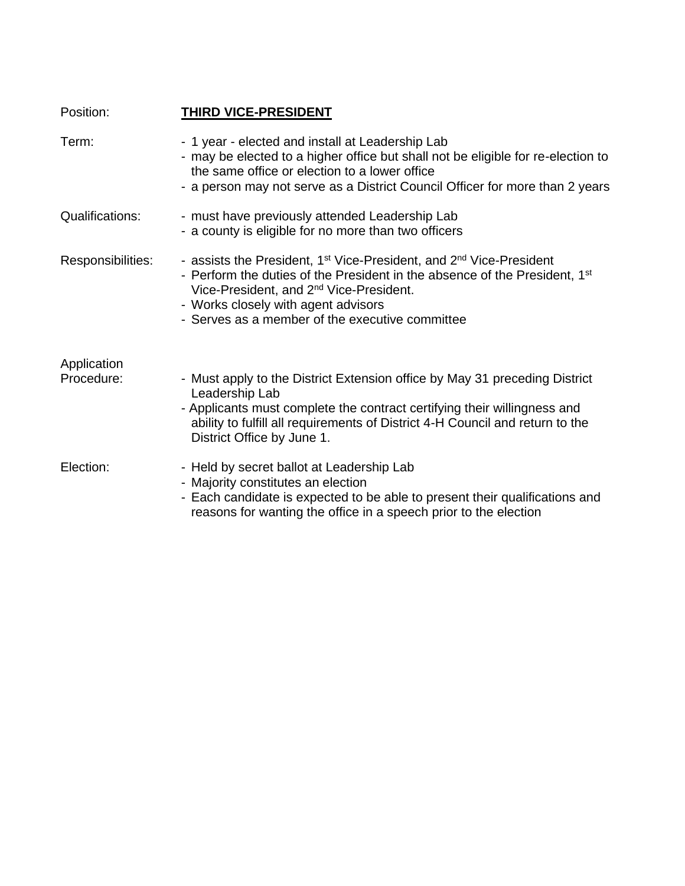| Position:                 | THIRD VICE-PRESIDENT                                                                                                                                                                                                                                                                                                                   |
|---------------------------|----------------------------------------------------------------------------------------------------------------------------------------------------------------------------------------------------------------------------------------------------------------------------------------------------------------------------------------|
| Term:                     | - 1 year - elected and install at Leadership Lab<br>- may be elected to a higher office but shall not be eligible for re-election to<br>the same office or election to a lower office<br>- a person may not serve as a District Council Officer for more than 2 years                                                                  |
| <b>Qualifications:</b>    | - must have previously attended Leadership Lab<br>- a county is eligible for no more than two officers                                                                                                                                                                                                                                 |
| Responsibilities:         | - assists the President, 1 <sup>st</sup> Vice-President, and 2 <sup>nd</sup> Vice-President<br>- Perform the duties of the President in the absence of the President, 1 <sup>st</sup><br>Vice-President, and 2 <sup>nd</sup> Vice-President.<br>- Works closely with agent advisors<br>- Serves as a member of the executive committee |
| Application<br>Procedure: | - Must apply to the District Extension office by May 31 preceding District<br>Leadership Lab<br>- Applicants must complete the contract certifying their willingness and<br>ability to fulfill all requirements of District 4-H Council and return to the<br>District Office by June 1.                                                |
| Election:                 | - Held by secret ballot at Leadership Lab<br>- Majority constitutes an election<br>- Each candidate is expected to be able to present their qualifications and<br>reasons for wanting the office in a speech prior to the election                                                                                                     |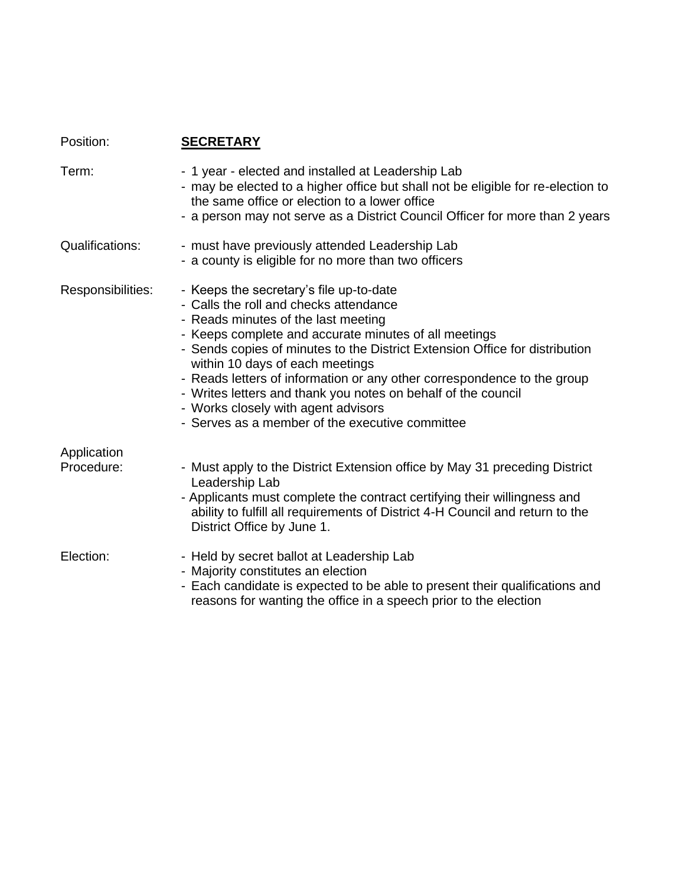| Position:         | <b>SECRETARY</b>                                                                                                                                                                                                                                                                                                                                                                                                                                                                                                                          |
|-------------------|-------------------------------------------------------------------------------------------------------------------------------------------------------------------------------------------------------------------------------------------------------------------------------------------------------------------------------------------------------------------------------------------------------------------------------------------------------------------------------------------------------------------------------------------|
| Term:             | - 1 year - elected and installed at Leadership Lab<br>- may be elected to a higher office but shall not be eligible for re-election to<br>the same office or election to a lower office<br>- a person may not serve as a District Council Officer for more than 2 years                                                                                                                                                                                                                                                                   |
| Qualifications:   | - must have previously attended Leadership Lab<br>- a county is eligible for no more than two officers                                                                                                                                                                                                                                                                                                                                                                                                                                    |
| Responsibilities: | - Keeps the secretary's file up-to-date<br>- Calls the roll and checks attendance<br>- Reads minutes of the last meeting<br>- Keeps complete and accurate minutes of all meetings<br>- Sends copies of minutes to the District Extension Office for distribution<br>within 10 days of each meetings<br>- Reads letters of information or any other correspondence to the group<br>- Writes letters and thank you notes on behalf of the council<br>- Works closely with agent advisors<br>- Serves as a member of the executive committee |
| Application       |                                                                                                                                                                                                                                                                                                                                                                                                                                                                                                                                           |
| Procedure:        | - Must apply to the District Extension office by May 31 preceding District<br>Leadership Lab<br>- Applicants must complete the contract certifying their willingness and<br>ability to fulfill all requirements of District 4-H Council and return to the<br>District Office by June 1.                                                                                                                                                                                                                                                   |
| Election:         | - Held by secret ballot at Leadership Lab<br>- Majority constitutes an election<br>- Each candidate is expected to be able to present their qualifications and<br>reasons for wanting the office in a speech prior to the election                                                                                                                                                                                                                                                                                                        |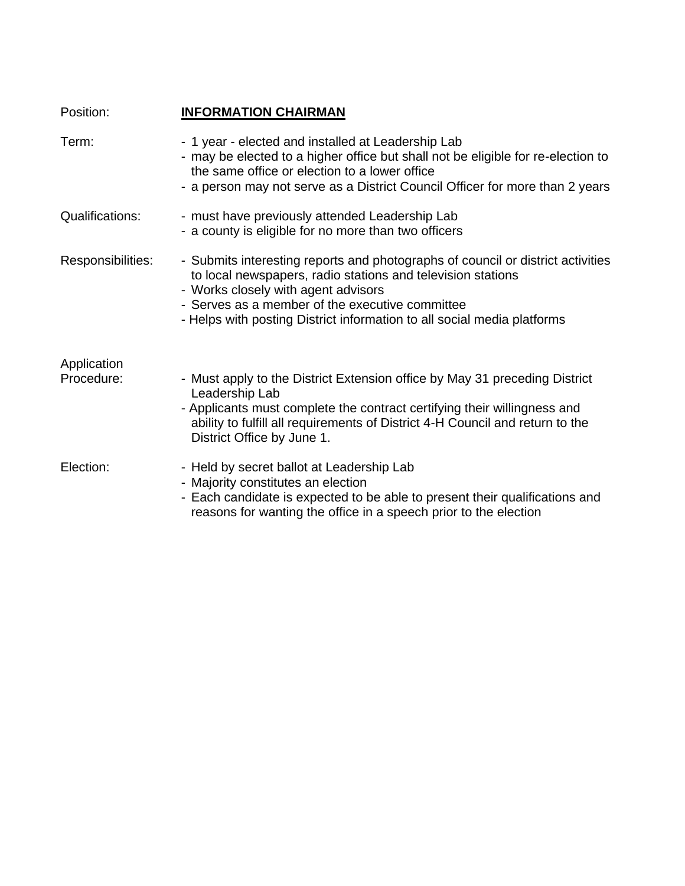| Position:                 | <b>INFORMATION CHAIRMAN</b>                                                                                                                                                                                                                                                                                         |
|---------------------------|---------------------------------------------------------------------------------------------------------------------------------------------------------------------------------------------------------------------------------------------------------------------------------------------------------------------|
| Term:                     | - 1 year - elected and installed at Leadership Lab<br>- may be elected to a higher office but shall not be eligible for re-election to<br>the same office or election to a lower office<br>- a person may not serve as a District Council Officer for more than 2 years                                             |
| <b>Qualifications:</b>    | - must have previously attended Leadership Lab<br>- a county is eligible for no more than two officers                                                                                                                                                                                                              |
| Responsibilities:         | - Submits interesting reports and photographs of council or district activities<br>to local newspapers, radio stations and television stations<br>- Works closely with agent advisors<br>- Serves as a member of the executive committee<br>- Helps with posting District information to all social media platforms |
| Application<br>Procedure: | - Must apply to the District Extension office by May 31 preceding District<br>Leadership Lab<br>- Applicants must complete the contract certifying their willingness and<br>ability to fulfill all requirements of District 4-H Council and return to the<br>District Office by June 1.                             |
| Election:                 | - Held by secret ballot at Leadership Lab<br>- Majority constitutes an election<br>- Each candidate is expected to be able to present their qualifications and<br>reasons for wanting the office in a speech prior to the election                                                                                  |